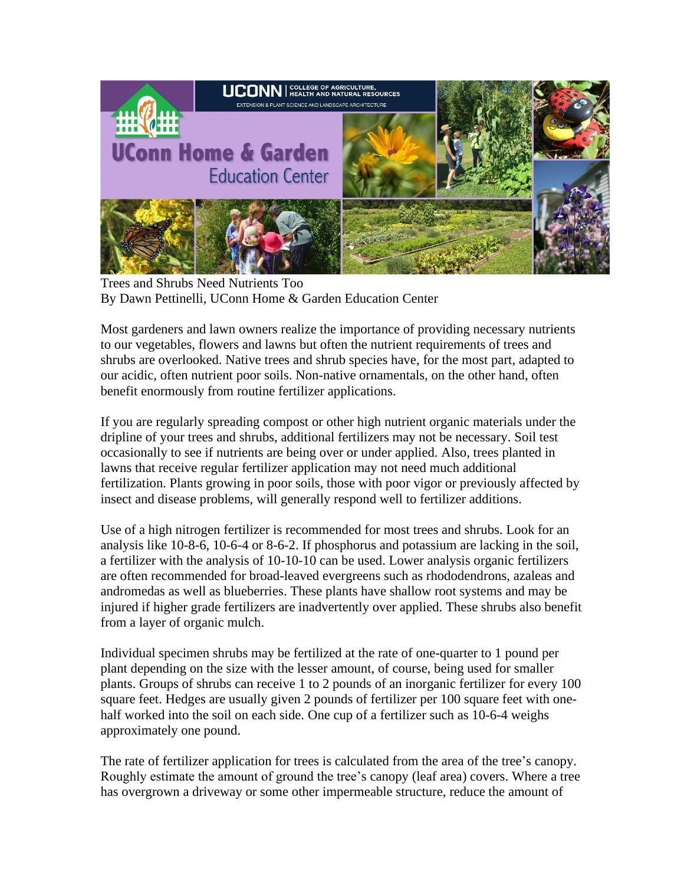

Trees and Shrubs Need Nutrients Too By Dawn Pettinelli, UConn Home & Garden Education Center

Most gardeners and lawn owners realize the importance of providing necessary nutrients to our vegetables, flowers and lawns but often the nutrient requirements of trees and shrubs are overlooked. Native trees and shrub species have, for the most part, adapted to our acidic, often nutrient poor soils. Non-native ornamentals, on the other hand, often benefit enormously from routine fertilizer applications.

If you are regularly spreading compost or other high nutrient organic materials under the dripline of your trees and shrubs, additional fertilizers may not be necessary. Soil test occasionally to see if nutrients are being over or under applied. Also, trees planted in lawns that receive regular fertilizer application may not need much additional fertilization. Plants growing in poor soils, those with poor vigor or previously affected by insect and disease problems, will generally respond well to fertilizer additions.

Use of a high nitrogen fertilizer is recommended for most trees and shrubs. Look for an analysis like 10-8-6, 10-6-4 or 8-6-2. If phosphorus and potassium are lacking in the soil, a fertilizer with the analysis of 10-10-10 can be used. Lower analysis organic fertilizers are often recommended for broad-leaved evergreens such as rhododendrons, azaleas and andromedas as well as blueberries. These plants have shallow root systems and may be injured if higher grade fertilizers are inadvertently over applied. These shrubs also benefit from a layer of organic mulch.

Individual specimen shrubs may be fertilized at the rate of one-quarter to 1 pound per plant depending on the size with the lesser amount, of course, being used for smaller plants. Groups of shrubs can receive 1 to 2 pounds of an inorganic fertilizer for every 100 square feet. Hedges are usually given 2 pounds of fertilizer per 100 square feet with onehalf worked into the soil on each side. One cup of a fertilizer such as 10-6-4 weighs approximately one pound.

The rate of fertilizer application for trees is calculated from the area of the tree's canopy. Roughly estimate the amount of ground the tree's canopy (leaf area) covers. Where a tree has overgrown a driveway or some other impermeable structure, reduce the amount of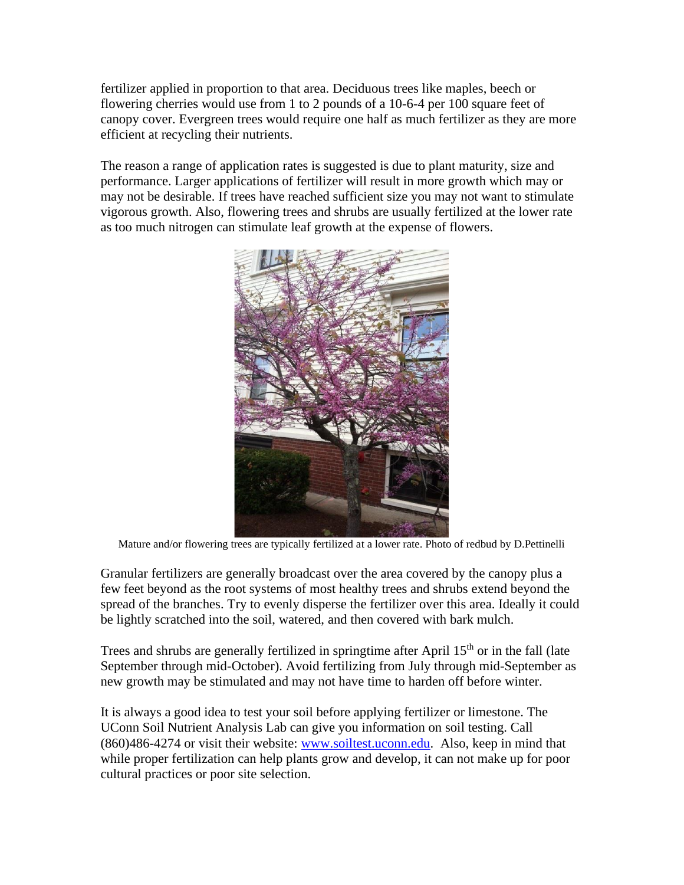fertilizer applied in proportion to that area. Deciduous trees like maples, beech or flowering cherries would use from 1 to 2 pounds of a 10-6-4 per 100 square feet of canopy cover. Evergreen trees would require one half as much fertilizer as they are more efficient at recycling their nutrients.

The reason a range of application rates is suggested is due to plant maturity, size and performance. Larger applications of fertilizer will result in more growth which may or may not be desirable. If trees have reached sufficient size you may not want to stimulate vigorous growth. Also, flowering trees and shrubs are usually fertilized at the lower rate as too much nitrogen can stimulate leaf growth at the expense of flowers.



Mature and/or flowering trees are typically fertilized at a lower rate. Photo of redbud by D.Pettinelli

Granular fertilizers are generally broadcast over the area covered by the canopy plus a few feet beyond as the root systems of most healthy trees and shrubs extend beyond the spread of the branches. Try to evenly disperse the fertilizer over this area. Ideally it could be lightly scratched into the soil, watered, and then covered with bark mulch.

Trees and shrubs are generally fertilized in springtime after April  $15<sup>th</sup>$  or in the fall (late September through mid-October). Avoid fertilizing from July through mid-September as new growth may be stimulated and may not have time to harden off before winter.

It is always a good idea to test your soil before applying fertilizer or limestone. The UConn Soil Nutrient Analysis Lab can give you information on soil testing. Call (860)486-4274 or visit their website: [www.soiltest.uconn.edu.](http://www.soiltest.uconn.edu/) Also, keep in mind that while proper fertilization can help plants grow and develop, it can not make up for poor cultural practices or poor site selection.